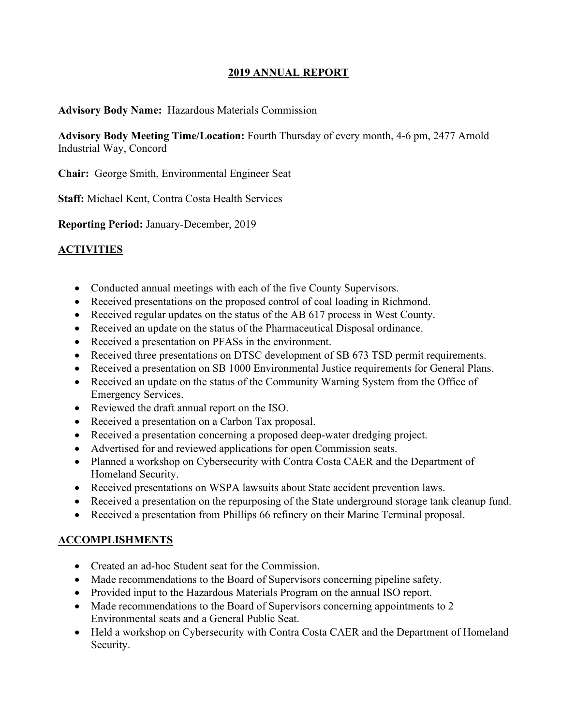### **2019 ANNUAL REPORT**

### **Advisory Body Name:** Hazardous Materials Commission

**Advisory Body Meeting Time/Location:** Fourth Thursday of every month, 4-6 pm, 2477 Arnold Industrial Way, Concord

**Chair:** George Smith, Environmental Engineer Seat

**Staff:** Michael Kent, Contra Costa Health Services

**Reporting Period:** January-December, 2019

# **ACTIVITIES**

- Conducted annual meetings with each of the five County Supervisors.
- Received presentations on the proposed control of coal loading in Richmond.
- Received regular updates on the status of the AB 617 process in West County.
- Received an update on the status of the Pharmaceutical Disposal ordinance.
- Received a presentation on PFASs in the environment.
- Received three presentations on DTSC development of SB 673 TSD permit requirements.
- Received a presentation on SB 1000 Environmental Justice requirements for General Plans.
- Received an update on the status of the Community Warning System from the Office of Emergency Services.
- Reviewed the draft annual report on the ISO.
- Received a presentation on a Carbon Tax proposal.
- Received a presentation concerning a proposed deep-water dredging project.
- Advertised for and reviewed applications for open Commission seats.
- Planned a workshop on Cybersecurity with Contra Costa CAER and the Department of Homeland Security.
- Received presentations on WSPA lawsuits about State accident prevention laws.
- Received a presentation on the repurposing of the State underground storage tank cleanup fund.
- Received a presentation from Phillips 66 refinery on their Marine Terminal proposal.

### **ACCOMPLISHMENTS**

- Created an ad-hoc Student seat for the Commission.
- Made recommendations to the Board of Supervisors concerning pipeline safety.
- Provided input to the Hazardous Materials Program on the annual ISO report.
- Made recommendations to the Board of Supervisors concerning appointments to 2 Environmental seats and a General Public Seat.
- Held a workshop on Cybersecurity with Contra Costa CAER and the Department of Homeland Security.